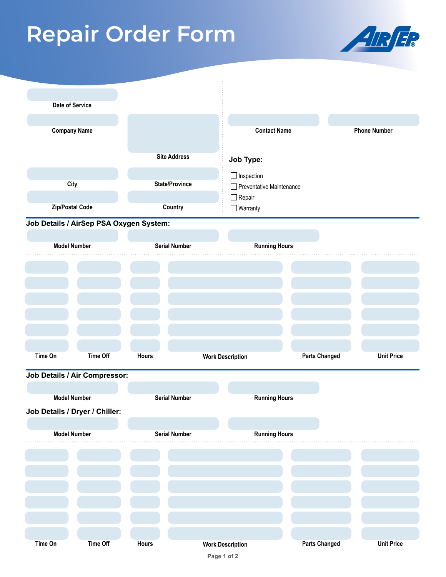## **Repair Order Form**



| Date of Service                         |                 |                      |                         |                                  |                      |                     |                   |
|-----------------------------------------|-----------------|----------------------|-------------------------|----------------------------------|----------------------|---------------------|-------------------|
|                                         |                 |                      |                         |                                  |                      |                     |                   |
| <b>Company Name</b>                     |                 |                      |                         | <b>Contact Name</b>              |                      | <b>Phone Number</b> |                   |
|                                         |                 |                      |                         |                                  |                      |                     |                   |
|                                         |                 |                      |                         |                                  |                      |                     |                   |
|                                         |                 | <b>City</b>          |                         | <b>State/Province</b>            |                      | $\Box$ Inspection   |                   |
|                                         |                 |                      |                         | Preventative Maintenance         |                      |                     |                   |
| Zip/Postal Code                         |                 | Country              |                         | $\Box$ Repair<br>$\Box$ Warranty |                      |                     |                   |
|                                         |                 |                      |                         |                                  |                      |                     |                   |
| Job Details / AirSep PSA Oxygen System: |                 |                      |                         |                                  |                      |                     |                   |
|                                         |                 |                      |                         |                                  |                      |                     |                   |
| <b>Model Number</b>                     |                 | <b>Serial Number</b> |                         | <b>Running Hours</b>             |                      |                     |                   |
|                                         |                 |                      |                         |                                  |                      |                     |                   |
|                                         |                 |                      |                         |                                  |                      |                     |                   |
|                                         |                 |                      |                         |                                  |                      |                     |                   |
|                                         |                 |                      |                         |                                  |                      |                     |                   |
|                                         |                 |                      |                         |                                  |                      |                     |                   |
|                                         |                 |                      |                         |                                  |                      |                     |                   |
|                                         |                 |                      |                         |                                  |                      |                     |                   |
|                                         |                 |                      |                         |                                  |                      |                     |                   |
| Time On                                 | <b>Time Off</b> | Hours                |                         | <b>Work Description</b>          | <b>Parts Changed</b> |                     | <b>Unit Price</b> |
| Job Details / Air Compressor:           |                 |                      |                         |                                  |                      |                     |                   |
|                                         |                 |                      |                         |                                  |                      |                     |                   |
| <b>Model Number</b>                     |                 | <b>Serial Number</b> |                         | <b>Running Hours</b>             |                      |                     |                   |
| Job Details / Dryer / Chiller:          |                 |                      |                         |                                  |                      |                     |                   |
|                                         |                 |                      |                         |                                  |                      |                     |                   |
| <b>Model Number</b>                     |                 | <b>Serial Number</b> |                         | <b>Running Hours</b>             |                      |                     |                   |
|                                         |                 |                      |                         |                                  |                      |                     |                   |
|                                         |                 |                      |                         |                                  |                      |                     |                   |
|                                         |                 |                      |                         |                                  |                      |                     |                   |
|                                         |                 |                      |                         |                                  |                      |                     |                   |
|                                         |                 |                      |                         |                                  |                      |                     |                   |
|                                         |                 |                      |                         |                                  |                      |                     |                   |
|                                         |                 |                      |                         |                                  |                      |                     |                   |
|                                         |                 |                      |                         |                                  |                      |                     |                   |
| Time Off<br>Time On                     |                 | Hours                | <b>Work Description</b> |                                  | <b>Parts Changed</b> |                     | <b>Unit Price</b> |
|                                         |                 |                      |                         | Page 1 of 2                      |                      |                     |                   |